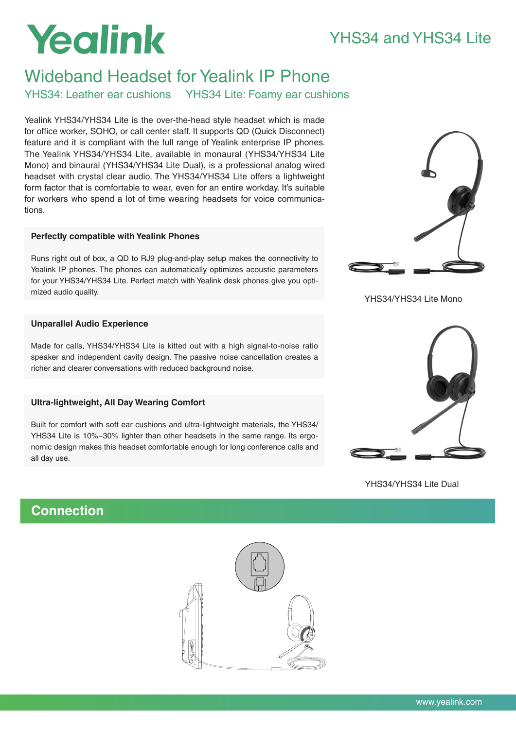## YHS34 and YHS34 Lite

# Yealink

## Wideband Headset for Yealink IP Phone

YHS34: Leather ear cushions YHS34 Lite: Foamy ear cushions

Yealink YHS34/YHS34 Lite is the over-the-head style headset which is made for office worker, SOHO, or call center staff. It supports QD (Quick Disconnect) feature and it is compliant with the full range of Yealink enterprise IP phones. The Yealink YHS34/YHS34 Lite, available in monaural (YHS34/YHS34 Lite Mono) and binaural (YHS34/YHS34 Lite Dual), is a professional analog wired headset with crystal clear audio. The YHS34/YHS34 Lite offers a lightweight form factor that is comfortable to wear, even for an entire workday. It's suitable for workers who spend a lot of time wearing headsets for voice communications.

## **Perfectly compatible with Yealink Phones**

Runs right out of box, a QD to RJ9 plug-and-play setup makes the connectivity to Yealink IP phones. The phones can automatically optimizes acoustic parameters for your YHS34/YHS34 Lite. Perfect match with Yealink desk phones give you optimized audio quality.

## **Unparallel Audio Experience**

Made for calls, YHS34/YHS34 Lite is kitted out with a high signal-to-noise ratio speaker and independent cavity design. The passive noise cancellation creates a richer and clearer conversations with reduced background noise.

## **Ultra-lightweight, All Day Wearing Comfort**

Built for comfort with soft ear cushions and ultra-lightweight materials, the YHS34/ YHS34 Lite is 10%~30% lighter than other headsets in the same range. Its ergonomic design makes this headset comfortable enough for long conference calls and all day use.



YHS34/YHS34 Lite Mono



YHS34/YHS34 Lite Dual

## **Connection**